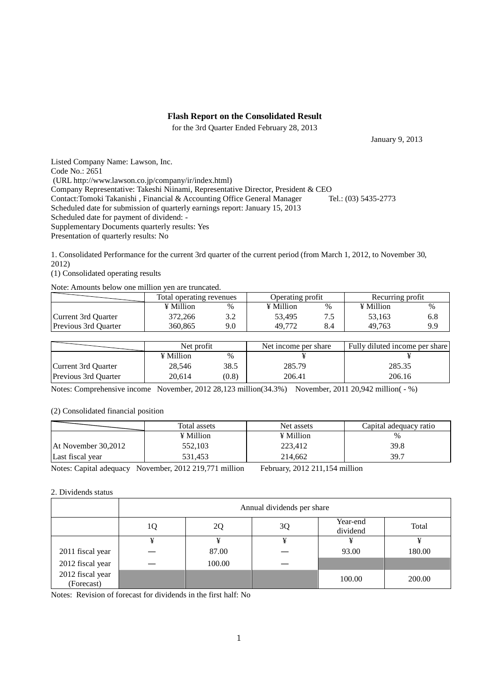### **Flash Report on the Consolidated Result**

for the 3rd Quarter Ended February 28, 2013

January 9, 2013

Listed Company Name: Lawson, Inc. Code No.: 2651 (URL http://www.lawson.co.jp/company/ir/index.html) Company Representative: Takeshi Niinami, Representative Director, President & CEO<br>Contact: Tomoki Takanishi, Financial & Accounting Office General Manager Tel.: (03) 5435-2773 Contact:Tomoki Takanishi, Financial & Accounting Office General Manager Scheduled date for submission of quarterly earnings report: January 15, 2013 Scheduled date for payment of dividend: - Supplementary Documents quarterly results: Yes Presentation of quarterly results: No

1. Consolidated Performance for the current 3rd quarter of the current period (from March 1, 2012, to November 30, 2012)

(1) Consolidated operating results

Note: Amounts below one million yen are truncated.

|                             | Total operating revenues |       | Operating profit |      | Recurring profit |     |
|-----------------------------|--------------------------|-------|------------------|------|------------------|-----|
|                             | ¥ Million                | $\%$  | ¥ Million        | $\%$ | $\angle$ Million | %   |
| Current 3rd Ouarter         | 372,266                  | ے . د | 53.495           |      | 53.163           | 6.8 |
| <b>Previous 3rd Quarter</b> | 360.865                  | 9.0   | 49.772           | 8.4  | 49.763           | 9.9 |

|                      | Net profit |               | Net income per share | Fully diluted income per share |  |
|----------------------|------------|---------------|----------------------|--------------------------------|--|
|                      | ¥ Million  | $\frac{0}{0}$ |                      |                                |  |
| Current 3rd Ouarter  | 28.546     | 38.5          | 285.79               | 285.35                         |  |
| Previous 3rd Quarter | 20.614     | (0.8)         | 206.41               | 206.16                         |  |

Notes: Comprehensive income November, 2012 28,123 million(34.3%) November, 2011 20,942 million( $-$ %)

(2) Consolidated financial position

|                       | Total assets | Net assets | Capital adequacy ratio |
|-----------------------|--------------|------------|------------------------|
|                       | ¥ Million    | ¥ Million  | %                      |
| At November $30,2012$ | 552,103      | 223.412    | 39.8                   |
| Last fiscal year      | 531.453      | 214.662    | 39.7                   |

Notes: Capital adequacy November, 2012 219,771 million February, 2012 211,154 million

#### 2. Dividends status

|                                | Annual dividends per share |        |    |                      |        |  |  |
|--------------------------------|----------------------------|--------|----|----------------------|--------|--|--|
|                                | 1Q                         | 2Q     | 3Q | Year-end<br>dividend | Total  |  |  |
|                                | ¥                          | ¥      | ¥  |                      |        |  |  |
| 2011 fiscal year               |                            | 87.00  |    | 93.00                | 180.00 |  |  |
| 2012 fiscal year               |                            | 100.00 |    |                      |        |  |  |
| 2012 fiscal year<br>(Forecast) |                            |        |    | 100.00               | 200.00 |  |  |

Notes: Revision of forecast for dividends in the first half: No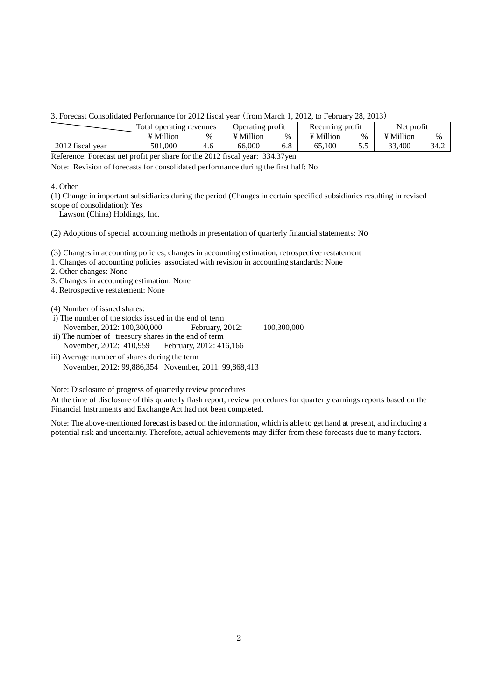3. Forecast Consolidated Performance for 2012 fiscal year (from March 1, 2012, to February 28, 2013)

|                  | Total operating revenues |     | Operating profit |      | Recurring profit |      | Net profit |      |
|------------------|--------------------------|-----|------------------|------|------------------|------|------------|------|
|                  | <sup>v</sup> Million     | %   | ¥ Million        | $\%$ | ¥ Million        | $\%$ | ¥ Million  | $\%$ |
| 2012 fiscal year | 501.000                  | 4.6 | 66,000           | 6.8  | 100              | ັ້   | 33.400     | 34.2 |

Reference: Forecast net profit per share for the 2012 fiscal year: 334.37yen

Note: Revision of forecasts for consolidated performance during the first half: No

#### 4. Other

(1) Change in important subsidiaries during the period (Changes in certain specified subsidiaries resulting in revised scope of consolidation): Yes

Lawson (China) Holdings, Inc.

(2) Adoptions of special accounting methods in presentation of quarterly financial statements: No

(3) Changes in accounting policies, changes in accounting estimation, retrospective restatement

1. Changes of accounting policies associated with revision in accounting standards: None

2. Other changes: None

- 3. Changes in accounting estimation: None
- 4. Retrospective restatement: None

(4) Number of issued shares:

 i) The number of the stocks issued in the end of term November, 2012: 100,300,000 February, 2012: 100,300,000

- ii) The number of treasury shares in the end of term November, 2012: 410,959 February, 2012: 416,166
- iii) Average number of shares during the term November, 2012: 99,886,354 November, 2011: 99,868,413

Note: Disclosure of progress of quarterly review procedures

At the time of disclosure of this quarterly flash report, review procedures for quarterly earnings reports based on the Financial Instruments and Exchange Act had not been completed.

Note: The above-mentioned forecast is based on the information, which is able to get hand at present, and including a potential risk and uncertainty. Therefore, actual achievements may differ from these forecasts due to many factors.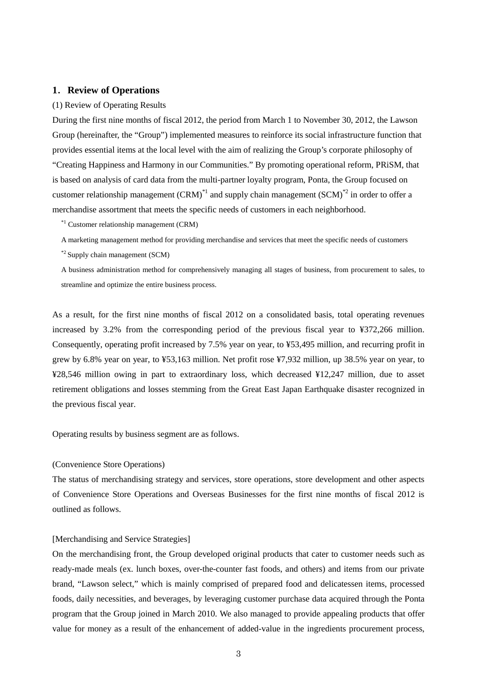## **1**.**Review of Operations**

#### (1) Review of Operating Results

During the first nine months of fiscal 2012, the period from March 1 to November 30, 2012, the Lawson Group (hereinafter, the "Group") implemented measures to reinforce its social infrastructure function that provides essential items at the local level with the aim of realizing the Group's corporate philosophy of "Creating Happiness and Harmony in our Communities." By promoting operational reform, PRiSM, that is based on analysis of card data from the multi-partner loyalty program, Ponta, the Group focused on customer relationship management  $(CRM)^{1/4}$  and supply chain management  $(SCM)^{2/4}$  in order to offer a merchandise assortment that meets the specific needs of customers in each neighborhood.

\*1 Customer relationship management (CRM)

A marketing management method for providing merchandise and services that meet the specific needs of customers

\*2 Supply chain management (SCM)

A business administration method for comprehensively managing all stages of business, from procurement to sales, to streamline and optimize the entire business process.

As a result, for the first nine months of fiscal 2012 on a consolidated basis, total operating revenues increased by 3.2% from the corresponding period of the previous fiscal year to ¥372,266 million. Consequently, operating profit increased by 7.5% year on year, to ¥53,495 million, and recurring profit in grew by 6.8% year on year, to ¥53,163 million. Net profit rose ¥7,932 million, up 38.5% year on year, to ¥28,546 million owing in part to extraordinary loss, which decreased ¥12,247 million, due to asset retirement obligations and losses stemming from the Great East Japan Earthquake disaster recognized in the previous fiscal year.

Operating results by business segment are as follows.

### (Convenience Store Operations)

The status of merchandising strategy and services, store operations, store development and other aspects of Convenience Store Operations and Overseas Businesses for the first nine months of fiscal 2012 is outlined as follows.

#### [Merchandising and Service Strategies]

On the merchandising front, the Group developed original products that cater to customer needs such as ready-made meals (ex. lunch boxes, over-the-counter fast foods, and others) and items from our private brand, "Lawson select," which is mainly comprised of prepared food and delicatessen items, processed foods, daily necessities, and beverages, by leveraging customer purchase data acquired through the Ponta program that the Group joined in March 2010. We also managed to provide appealing products that offer value for money as a result of the enhancement of added-value in the ingredients procurement process,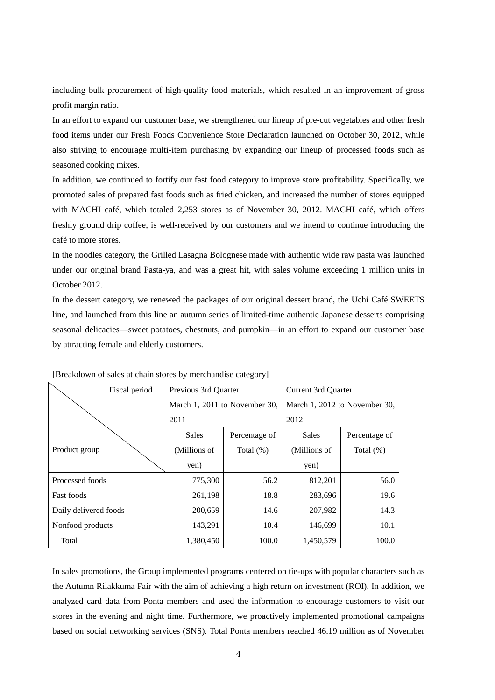including bulk procurement of high-quality food materials, which resulted in an improvement of gross profit margin ratio.

In an effort to expand our customer base, we strengthened our lineup of pre-cut vegetables and other fresh food items under our Fresh Foods Convenience Store Declaration launched on October 30, 2012, while also striving to encourage multi-item purchasing by expanding our lineup of processed foods such as seasoned cooking mixes.

In addition, we continued to fortify our fast food category to improve store profitability. Specifically, we promoted sales of prepared fast foods such as fried chicken, and increased the number of stores equipped with MACHI café, which totaled 2,253 stores as of November 30, 2012. MACHI café, which offers freshly ground drip coffee, is well-received by our customers and we intend to continue introducing the café to more stores.

In the noodles category, the Grilled Lasagna Bolognese made with authentic wide raw pasta was launched under our original brand Pasta-ya, and was a great hit, with sales volume exceeding 1 million units in October 2012.

In the dessert category, we renewed the packages of our original dessert brand, the Uchi Café SWEETS line, and launched from this line an autumn series of limited-time authentic Japanese desserts comprising seasonal delicacies—sweet potatoes, chestnuts, and pumpkin—in an effort to expand our customer base by attracting female and elderly customers.

| $\frac{1}{2}$         |                               |               |                     |                               |  |  |  |
|-----------------------|-------------------------------|---------------|---------------------|-------------------------------|--|--|--|
| Fiscal period         | Previous 3rd Quarter          |               | Current 3rd Quarter |                               |  |  |  |
|                       | March 1, 2011 to November 30, |               |                     | March 1, 2012 to November 30, |  |  |  |
|                       | 2011                          |               | 2012                |                               |  |  |  |
|                       | <b>Sales</b>                  | Percentage of | <b>Sales</b>        | Percentage of                 |  |  |  |
| Product group         | (Millions of<br>Total $(\%)$  |               | (Millions of        | Total $(\%)$                  |  |  |  |
|                       | yen)                          |               | yen)                |                               |  |  |  |
| Processed foods       | 775,300                       | 56.2          | 812,201             | 56.0                          |  |  |  |
| <b>Fast foods</b>     | 261,198                       | 18.8          | 283,696             | 19.6                          |  |  |  |
| Daily delivered foods | 200,659                       | 14.6          | 207,982             | 14.3                          |  |  |  |
| Nonfood products      | 143,291                       | 10.4          | 146,699             | 10.1                          |  |  |  |
| Total                 | 1,380,450                     | 100.0         | 1,450,579           | 100.0                         |  |  |  |

[Breakdown of sales at chain stores by merchandise category]

In sales promotions, the Group implemented programs centered on tie-ups with popular characters such as the Autumn Rilakkuma Fair with the aim of achieving a high return on investment (ROI). In addition, we analyzed card data from Ponta members and used the information to encourage customers to visit our stores in the evening and night time. Furthermore, we proactively implemented promotional campaigns based on social networking services (SNS). Total Ponta members reached 46.19 million as of November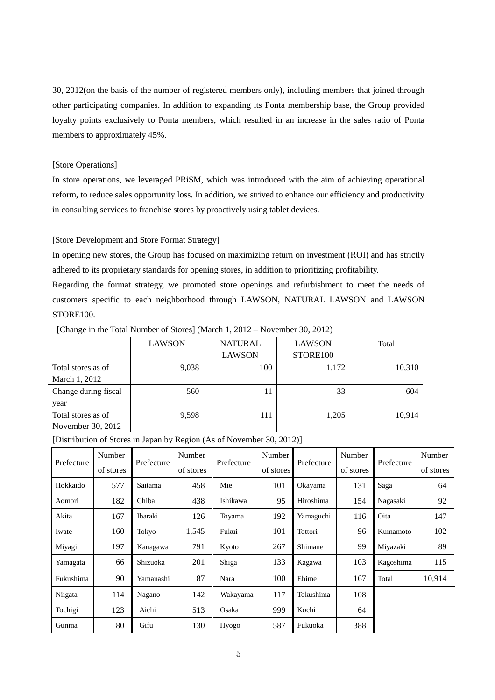30, 2012(on the basis of the number of registered members only), including members that joined through other participating companies. In addition to expanding its Ponta membership base, the Group provided loyalty points exclusively to Ponta members, which resulted in an increase in the sales ratio of Ponta members to approximately 45%.

## [Store Operations]

In store operations, we leveraged PRiSM, which was introduced with the aim of achieving operational reform, to reduce sales opportunity loss. In addition, we strived to enhance our efficiency and productivity in consulting services to franchise stores by proactively using tablet devices.

## [Store Development and Store Format Strategy]

In opening new stores, the Group has focused on maximizing return on investment (ROI) and has strictly adhered to its proprietary standards for opening stores, in addition to prioritizing profitability.

Regarding the format strategy, we promoted store openings and refurbishment to meet the needs of customers specific to each neighborhood through LAWSON, NATURAL LAWSON and LAWSON STORE100.

|                      | <b>LAWSON</b> | <b>NATURAL</b> | <b>LAWSON</b> | Total  |
|----------------------|---------------|----------------|---------------|--------|
|                      |               | <b>LAWSON</b>  | STORE100      |        |
| Total stores as of   | 9,038         | 100            | 1,172         | 10,310 |
| March 1, 2012        |               |                |               |        |
| Change during fiscal | 560           | 11             | 33            | 604    |
| year                 |               |                |               |        |
| Total stores as of   | 9,598         | 111            | 1,205         | 10,914 |
| November 30, 2012    |               |                |               |        |

[Change in the Total Number of Stores] (March 1, 2012 – November 30, 2012)

[Distribution of Stores in Japan by Region (As of November 30, 2012)]

| Prefecture | Number    | Prefecture | Number    | Prefecture | Number<br>Prefecture | Number    | Prefecture | Number    |           |
|------------|-----------|------------|-----------|------------|----------------------|-----------|------------|-----------|-----------|
|            | of stores |            | of stores |            | of stores            |           | of stores  |           | of stores |
| Hokkaido   | 577       | Saitama    | 458       | Mie        | 101                  | Okayama   | 131        | Saga      | 64        |
| Aomori     | 182       | Chiba      | 438       | Ishikawa   | 95                   | Hiroshima | 154        | Nagasaki  | 92        |
| Akita      | 167       | Ibaraki    | 126       | Toyama     | 192                  | Yamaguchi | 116        | Oita      | 147       |
| Iwate      | 160       | Tokyo      | 1,545     | Fukui      | 101                  | Tottori   | 96         | Kumamoto  | 102       |
| Miyagi     | 197       | Kanagawa   | 791       | Kyoto      | 267                  | Shimane   | 99         | Miyazaki  | 89        |
| Yamagata   | 66        | Shizuoka   | 201       | Shiga      | 133                  | Kagawa    | 103        | Kagoshima | 115       |
| Fukushima  | 90        | Yamanashi  | 87        | Nara       | 100                  | Ehime     | 167        | Total     | 10,914    |
| Niigata    | 114       | Nagano     | 142       | Wakayama   | 117                  | Tokushima | 108        |           |           |
| Tochigi    | 123       | Aichi      | 513       | Osaka      | 999                  | Kochi     | 64         |           |           |
| Gunma      | 80        | Gifu       | 130       | Hyogo      | 587                  | Fukuoka   | 388        |           |           |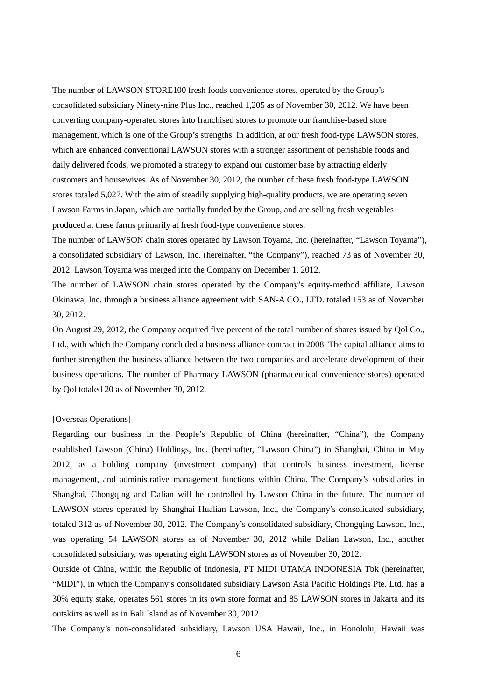The number of LAWSON STORE100 fresh foods convenience stores, operated by the Group's consolidated subsidiary Ninety-nine Plus Inc., reached 1,205 as of November 30, 2012. We have been converting company-operated stores into franchised stores to promote our franchise-based store management, which is one of the Group's strengths. In addition, at our fresh food-type LAWSON stores, which are enhanced conventional LAWSON stores with a stronger assortment of perishable foods and daily delivered foods, we promoted a strategy to expand our customer base by attracting elderly customers and housewives. As of November 30, 2012, the number of these fresh food-type LAWSON stores totaled 5,027. With the aim of steadily supplying high-quality products, we are operating seven Lawson Farms in Japan, which are partially funded by the Group, and are selling fresh vegetables produced at these farms primarily at fresh food-type convenience stores.

The number of LAWSON chain stores operated by Lawson Toyama, Inc. (hereinafter, "Lawson Toyama"), a consolidated subsidiary of Lawson, Inc. (hereinafter, "the Company"), reached 73 as of November 30, 2012. Lawson Toyama was merged into the Company on December 1, 2012.

The number of LAWSON chain stores operated by the Company's equity-method affiliate, Lawson Okinawa, Inc. through a business alliance agreement with SAN-A CO., LTD. totaled 153 as of November 30, 2012.

On August 29, 2012, the Company acquired five percent of the total number of shares issued by Qol Co., Ltd., with which the Company concluded a business alliance contract in 2008. The capital alliance aims to further strengthen the business alliance between the two companies and accelerate development of their business operations. The number of Pharmacy LAWSON (pharmaceutical convenience stores) operated by Qol totaled 20 as of November 30, 2012.

### [Overseas Operations]

Regarding our business in the People's Republic of China (hereinafter, "China"), the Company established Lawson (China) Holdings, Inc. (hereinafter, "Lawson China") in Shanghai, China in May 2012, as a holding company (investment company) that controls business investment, license management, and administrative management functions within China. The Company's subsidiaries in Shanghai, Chongqing and Dalian will be controlled by Lawson China in the future. The number of LAWSON stores operated by Shanghai Hualian Lawson, Inc., the Company's consolidated subsidiary, totaled 312 as of November 30, 2012. The Company's consolidated subsidiary, Chongqing Lawson, Inc., was operating 54 LAWSON stores as of November 30, 2012 while Dalian Lawson, Inc., another consolidated subsidiary, was operating eight LAWSON stores as of November 30, 2012.

Outside of China, within the Republic of Indonesia, PT MIDI UTAMA INDONESIA Tbk (hereinafter, "MIDI"), in which the Company's consolidated subsidiary Lawson Asia Pacific Holdings Pte. Ltd. has a 30% equity stake, operates 561 stores in its own store format and 85 LAWSON stores in Jakarta and its outskirts as well as in Bali Island as of November 30, 2012.

The Company's non-consolidated subsidiary, Lawson USA Hawaii, Inc., in Honolulu, Hawaii was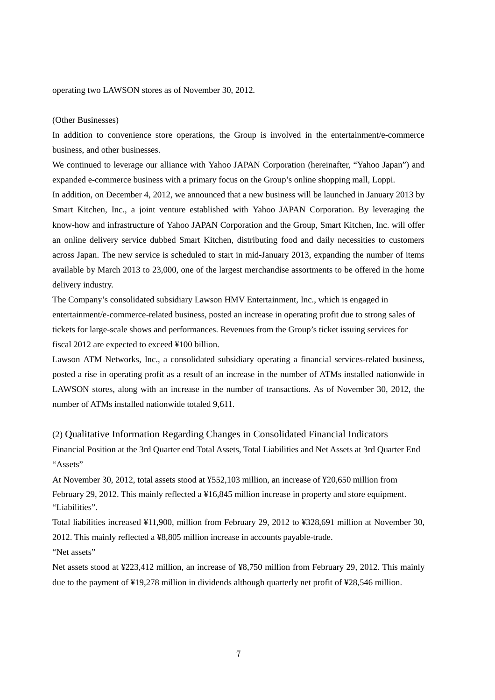operating two LAWSON stores as of November 30, 2012.

#### (Other Businesses)

In addition to convenience store operations, the Group is involved in the entertainment/e-commerce business, and other businesses.

We continued to leverage our alliance with Yahoo JAPAN Corporation (hereinafter, "Yahoo Japan") and expanded e-commerce business with a primary focus on the Group's online shopping mall, Loppi.

In addition, on December 4, 2012, we announced that a new business will be launched in January 2013 by Smart Kitchen, Inc., a joint venture established with Yahoo JAPAN Corporation. By leveraging the know-how and infrastructure of Yahoo JAPAN Corporation and the Group, Smart Kitchen, Inc. will offer an online delivery service dubbed Smart Kitchen, distributing food and daily necessities to customers across Japan. The new service is scheduled to start in mid-January 2013, expanding the number of items available by March 2013 to 23,000, one of the largest merchandise assortments to be offered in the home delivery industry.

The Company's consolidated subsidiary Lawson HMV Entertainment, Inc., which is engaged in entertainment/e-commerce-related business, posted an increase in operating profit due to strong sales of tickets for large-scale shows and performances. Revenues from the Group's ticket issuing services for fiscal 2012 are expected to exceed ¥100 billion.

Lawson ATM Networks, Inc., a consolidated subsidiary operating a financial services-related business, posted a rise in operating profit as a result of an increase in the number of ATMs installed nationwide in LAWSON stores, along with an increase in the number of transactions. As of November 30, 2012, the number of ATMs installed nationwide totaled 9,611.

(2) Qualitative Information Regarding Changes in Consolidated Financial Indicators Financial Position at the 3rd Quarter end Total Assets, Total Liabilities and Net Assets at 3rd Quarter End "Assets"

At November 30, 2012, total assets stood at ¥552,103 million, an increase of ¥20,650 million from February 29, 2012. This mainly reflected a ¥16,845 million increase in property and store equipment. "Liabilities".

Total liabilities increased ¥11,900, million from February 29, 2012 to ¥328,691 million at November 30, 2012. This mainly reflected a ¥8,805 million increase in accounts payable-trade.

"Net assets"

Net assets stood at ¥223,412 million, an increase of ¥8,750 million from February 29, 2012. This mainly due to the payment of ¥19,278 million in dividends although quarterly net profit of ¥28,546 million.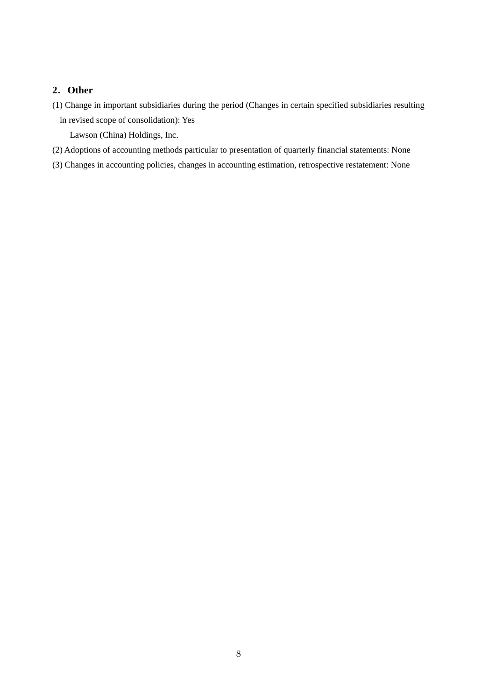# **2**.**Other**

(1) Change in important subsidiaries during the period (Changes in certain specified subsidiaries resulting in revised scope of consolidation): Yes

Lawson (China) Holdings, Inc.

- (2) Adoptions of accounting methods particular to presentation of quarterly financial statements: None
- (3) Changes in accounting policies, changes in accounting estimation, retrospective restatement: None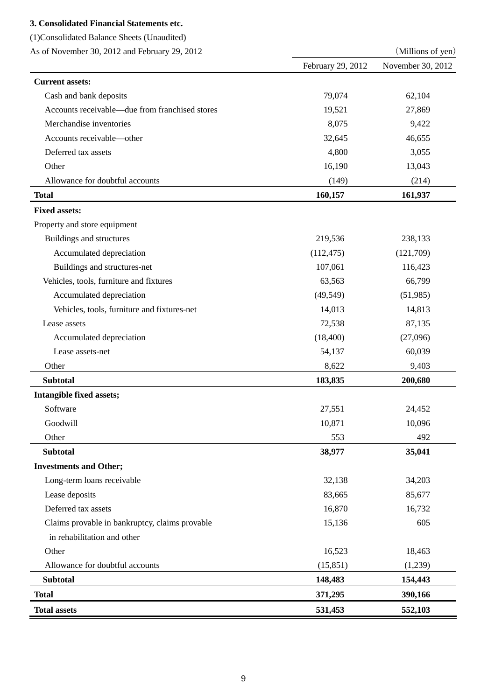## **3. Consolidated Financial Statements etc.**

(1)Consolidated Balance Sheets (Unaudited)

As of November 30, 2012 and February 29, 2012 (Millions of yen)

|                                                | February 29, 2012 | November 30, 2012 |
|------------------------------------------------|-------------------|-------------------|
| <b>Current assets:</b>                         |                   |                   |
| Cash and bank deposits                         | 79,074            | 62,104            |
| Accounts receivable—due from franchised stores | 19,521            | 27,869            |
| Merchandise inventories                        | 8,075             | 9,422             |
| Accounts receivable-other                      | 32,645            | 46,655            |
| Deferred tax assets                            | 4,800             | 3,055             |
| Other                                          | 16,190            | 13,043            |
| Allowance for doubtful accounts                | (149)             | (214)             |
| <b>Total</b>                                   | 160,157           | 161,937           |
| <b>Fixed assets:</b>                           |                   |                   |
| Property and store equipment                   |                   |                   |
| <b>Buildings and structures</b>                | 219,536           | 238,133           |
| Accumulated depreciation                       | (112, 475)        | (121,709)         |
| Buildings and structures-net                   | 107,061           | 116,423           |
| Vehicles, tools, furniture and fixtures        | 63,563            | 66,799            |
| Accumulated depreciation                       | (49, 549)         | (51,985)          |
| Vehicles, tools, furniture and fixtures-net    | 14,013            | 14,813            |
| Lease assets                                   | 72,538            | 87,135            |
| Accumulated depreciation                       | (18,400)          | (27,096)          |
| Lease assets-net                               | 54,137            | 60,039            |
| Other                                          | 8,622             | 9,403             |
| <b>Subtotal</b>                                | 183,835           | 200,680           |
| Intangible fixed assets;                       |                   |                   |
| Software                                       | 27,551            | 24,452            |
| Goodwill                                       | 10,871            | 10,096            |
| Other                                          | 553               | 492               |
| <b>Subtotal</b>                                | 38,977            | 35,041            |
| <b>Investments and Other;</b>                  |                   |                   |
| Long-term loans receivable                     | 32,138            | 34,203            |
| Lease deposits                                 | 83,665            | 85,677            |
| Deferred tax assets                            | 16,870            | 16,732            |
| Claims provable in bankruptcy, claims provable | 15,136            | 605               |
| in rehabilitation and other                    |                   |                   |
| Other                                          | 16,523            | 18,463            |
| Allowance for doubtful accounts                | (15, 851)         | (1,239)           |
| <b>Subtotal</b>                                | 148,483           | 154,443           |
| <b>Total</b>                                   | 371,295           | 390,166           |
| <b>Total assets</b>                            | 531,453           | 552,103           |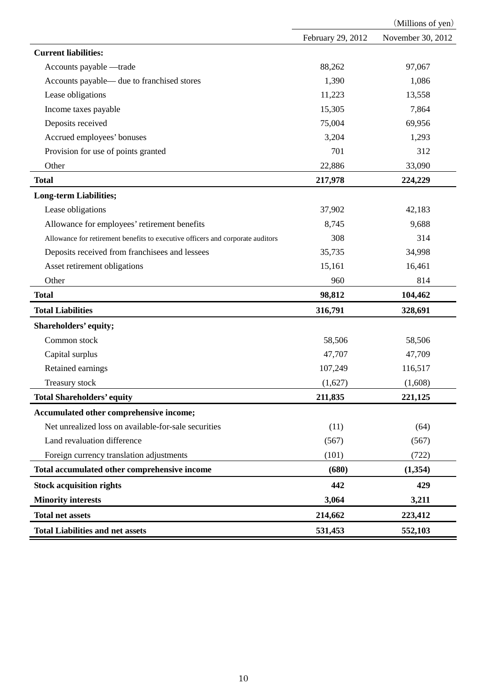|                                                                                |                   | (Millions of yen) |
|--------------------------------------------------------------------------------|-------------------|-------------------|
|                                                                                | February 29, 2012 | November 30, 2012 |
| <b>Current liabilities:</b>                                                    |                   |                   |
| Accounts payable -trade                                                        | 88,262            | 97,067            |
| Accounts payable- due to franchised stores                                     | 1,390             | 1,086             |
| Lease obligations                                                              | 11,223            | 13,558            |
| Income taxes payable                                                           | 15,305            | 7,864             |
| Deposits received                                                              | 75,004            | 69,956            |
| Accrued employees' bonuses                                                     | 3,204             | 1,293             |
| Provision for use of points granted                                            | 701               | 312               |
| Other                                                                          | 22,886            | 33,090            |
| <b>Total</b>                                                                   | 217,978           | 224,229           |
| <b>Long-term Liabilities;</b>                                                  |                   |                   |
| Lease obligations                                                              | 37,902            | 42,183            |
| Allowance for employees' retirement benefits                                   | 8,745             | 9,688             |
| Allowance for retirement benefits to executive officers and corporate auditors | 308               | 314               |
| Deposits received from franchisees and lessees                                 | 35,735            | 34,998            |
| Asset retirement obligations                                                   | 15,161            | 16,461            |
| Other                                                                          | 960               | 814               |
| <b>Total</b>                                                                   | 98,812            | 104,462           |
| <b>Total Liabilities</b>                                                       | 316,791           | 328,691           |
| Shareholders' equity;                                                          |                   |                   |
| Common stock                                                                   | 58,506            | 58,506            |
| Capital surplus                                                                | 47,707            | 47,709            |
| Retained earnings                                                              | 107,249           | 116,517           |
| Treasury stock                                                                 | (1,627)           | (1,608)           |
| <b>Total Shareholders' equity</b>                                              | 211,835           | 221,125           |
| Accumulated other comprehensive income;                                        |                   |                   |
| Net unrealized loss on available-for-sale securities                           | (11)              | (64)              |
| Land revaluation difference                                                    | (567)             | (567)             |
| Foreign currency translation adjustments                                       | (101)             | (722)             |
| Total accumulated other comprehensive income                                   | (680)             | (1, 354)          |
| <b>Stock acquisition rights</b>                                                | 442               | 429               |
| <b>Minority interests</b>                                                      | 3,064             | 3,211             |
| <b>Total net assets</b>                                                        | 214,662           | 223,412           |
| <b>Total Liabilities and net assets</b>                                        | 531,453           | 552,103           |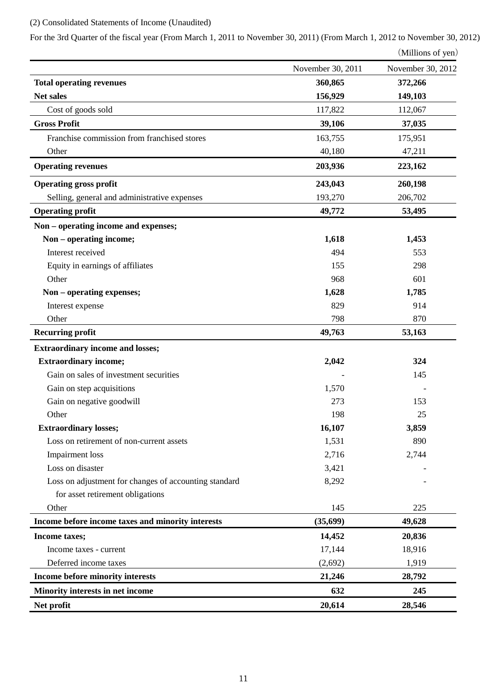## (2) Consolidated Statements of Income (Unaudited)

For the 3rd Quarter of the fiscal year (From March 1, 2011 to November 30, 2011) (From March 1, 2012 to November 30, 2012)

|                                                       |                   | (Millions of yen) |
|-------------------------------------------------------|-------------------|-------------------|
|                                                       | November 30, 2011 | November 30, 2012 |
| <b>Total operating revenues</b>                       | 360,865           | 372,266           |
| <b>Net sales</b>                                      | 156,929           | 149,103           |
| Cost of goods sold                                    | 117,822           | 112,067           |
| <b>Gross Profit</b>                                   | 39,106            | 37,035            |
| Franchise commission from franchised stores           | 163,755           | 175,951           |
| Other                                                 | 40,180            | 47,211            |
| <b>Operating revenues</b>                             | 203,936           | 223,162           |
| <b>Operating gross profit</b>                         | 243,043           | 260,198           |
| Selling, general and administrative expenses          | 193,270           | 206,702           |
| <b>Operating profit</b>                               | 49,772            | 53,495            |
| Non - operating income and expenses;                  |                   |                   |
| Non – operating income;                               | 1,618             | 1,453             |
| Interest received                                     | 494               | 553               |
| Equity in earnings of affiliates                      | 155               | 298               |
| Other                                                 | 968               | 601               |
| Non - operating expenses;                             | 1,628             | 1,785             |
| Interest expense                                      | 829               | 914               |
| Other                                                 | 798               | 870               |
| <b>Recurring profit</b>                               | 49,763            | 53,163            |
| <b>Extraordinary income and losses;</b>               |                   |                   |
| <b>Extraordinary income;</b>                          | 2,042             | 324               |
| Gain on sales of investment securities                |                   | 145               |
| Gain on step acquisitions                             | 1,570             |                   |
| Gain on negative goodwill                             | 273               | 153               |
| Other                                                 | 198               | 25                |
| <b>Extraordinary losses;</b>                          | 16,107            | 3,859             |
| Loss on retirement of non-current assets              | 1,531             | 890               |
| <b>Impairment</b> loss                                | 2,716             | 2,744             |
| Loss on disaster                                      | 3,421             |                   |
| Loss on adjustment for changes of accounting standard | 8,292             |                   |
| for asset retirement obligations                      |                   |                   |
| Other                                                 | 145               | 225               |
| Income before income taxes and minority interests     | (35, 699)         | 49,628            |
| Income taxes;                                         | 14,452            | 20,836            |
| Income taxes - current                                | 17,144            | 18,916            |
| Deferred income taxes                                 | (2,692)           | 1,919             |
| Income before minority interests                      | 21,246            | 28,792            |
| Minority interests in net income                      | 632               | 245               |
| Net profit                                            | 20,614            | 28,546            |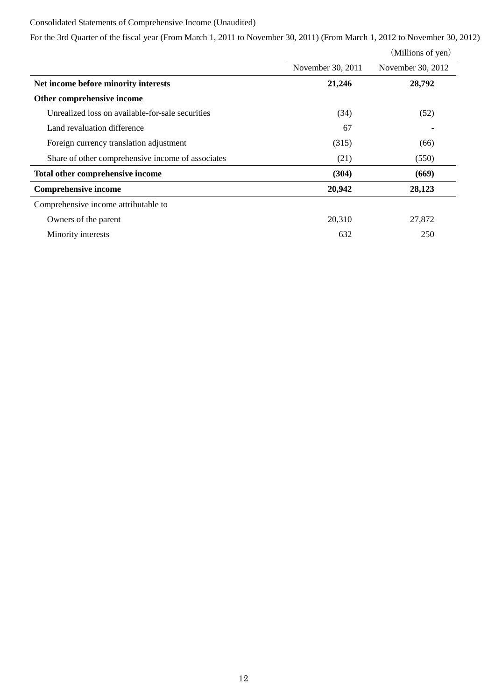# Consolidated Statements of Comprehensive Income (Unaudited)

For the 3rd Quarter of the fiscal year (From March 1, 2011 to November 30, 2011) (From March 1, 2012 to November 30, 2012)

|                                                   |                   | (Millions of yen) |
|---------------------------------------------------|-------------------|-------------------|
|                                                   | November 30, 2011 | November 30, 2012 |
| Net income before minority interests              | 21,246            | 28,792            |
| Other comprehensive income                        |                   |                   |
| Unrealized loss on available-for-sale securities  | (34)              | (52)              |
| Land revaluation difference                       | 67                |                   |
| Foreign currency translation adjustment           | (315)             | (66)              |
| Share of other comprehensive income of associates | (21)              | (550)             |
| Total other comprehensive income                  | (304)             | (669)             |
| <b>Comprehensive income</b>                       | 20,942            | 28,123            |
| Comprehensive income attributable to              |                   |                   |
| Owners of the parent                              | 20,310            | 27,872            |
| Minority interests                                | 632               | 250               |